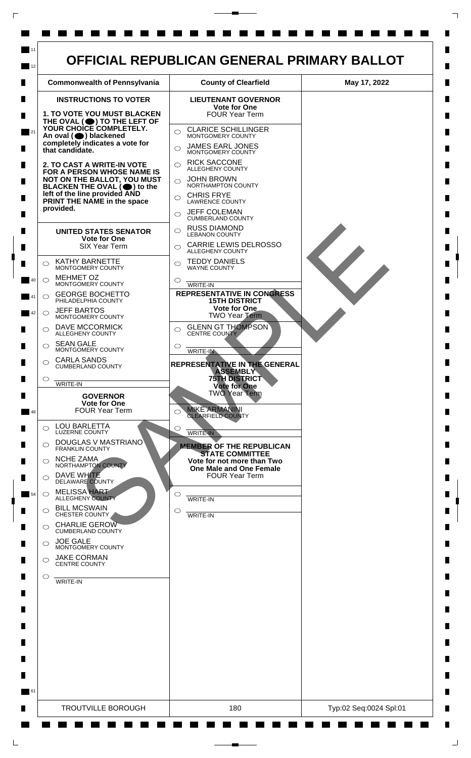

 $\mathsf{L}$